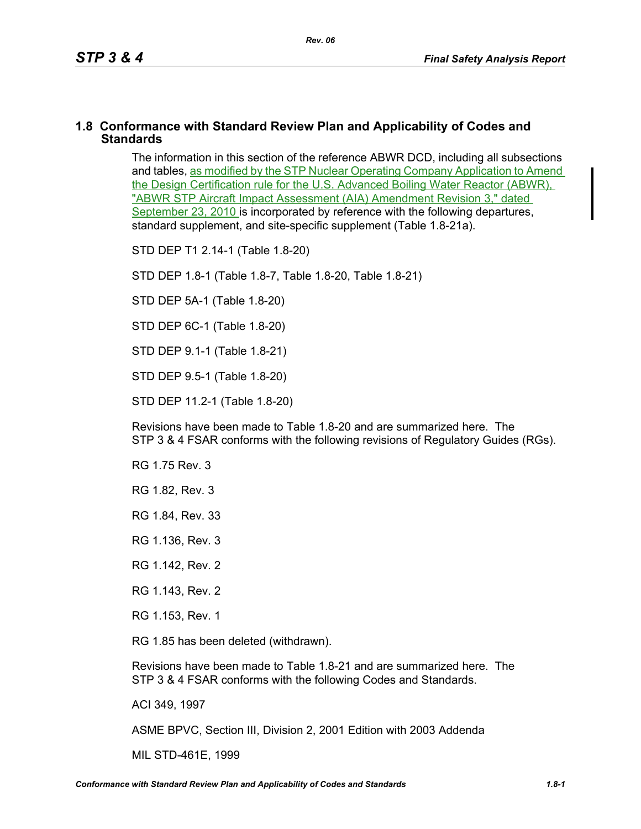## **1.8 Conformance with Standard Review Plan and Applicability of Codes and Standards**

The information in this section of the reference ABWR DCD, including all subsections and tables, as modified by the STP Nuclear Operating Company Application to Amend the Design Certification rule for the U.S. Advanced Boiling Water Reactor (ABWR), "ABWR STP Aircraft Impact Assessment (AIA) Amendment Revision 3," dated September 23, 2010 is incorporated by reference with the following departures, standard supplement, and site-specific supplement (Table 1.8-21a).

STD DEP T1 2.14-1 (Table 1.8-20)

STD DEP 1.8-1 (Table 1.8-7, Table [1.8-20,](#page-2-0) Table [1.8-21\)](#page-4-0)

STD DEP 5A-1 (Table 1.8-20)

STD DEP 6C-1 (Table [1.8-20\)](#page-2-0)

STD DEP 9.1-1 (Table 1.8-21)

STD DEP 9.5-1 (Table 1.8-20)

STD DEP 11.2-1 (Table [1.8-20](#page-2-0))

Revisions have been made to Table [1.8-20](#page-2-0) and are summarized here. The STP 3 & 4 FSAR conforms with the following revisions of Regulatory Guides (RGs).

RG 1.75 Rev. 3

RG 1.82, Rev. 3

RG 1.84, Rev. 33

RG 1.136, Rev. 3

RG 1.142, Rev. 2

RG 1.143, Rev. 2

RG 1.153, Rev. 1

RG 1.85 has been deleted (withdrawn).

Revisions have been made to Table [1.8-21](#page-4-0) and are summarized here. The STP 3 & 4 FSAR conforms with the following Codes and Standards.

ACI 349, 1997

ASME BPVC, Section III, Division 2, 2001 Edition with 2003 Addenda

MIL STD-461E, 1999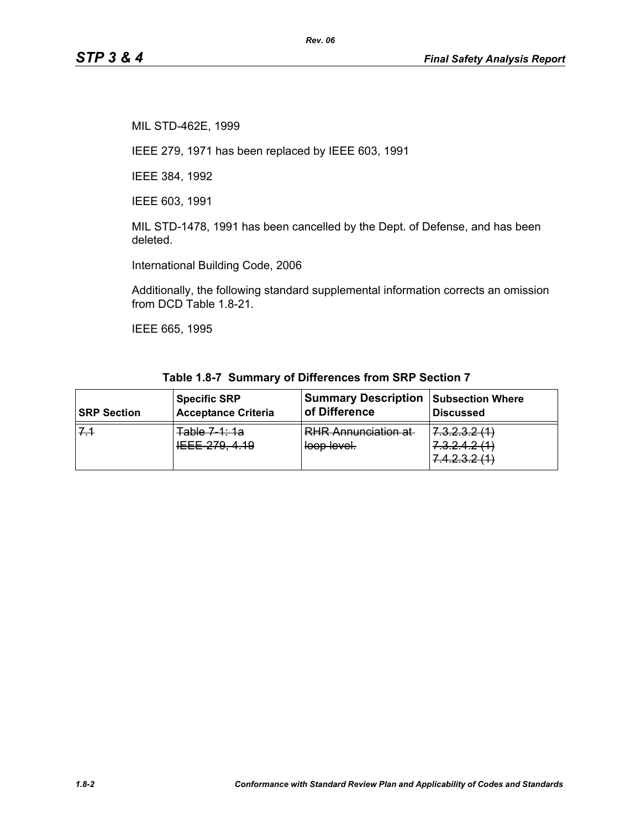MIL STD-462E, 1999

IEEE 279, 1971 has been replaced by IEEE 603, 1991

IEEE 384, 1992

IEEE 603, 1991

MIL STD-1478, 1991 has been cancelled by the Dept. of Defense, and has been deleted.

International Building Code, 2006

Additionally, the following standard supplemental information corrects an omission from DCD Table 1.8-21.

IEEE 665, 1995

| <b>SRP Section</b> | <b>Specific SRP</b>             | <b>Summary Description</b>                | <b>Subsection Where</b>                                                                                                                             |
|--------------------|---------------------------------|-------------------------------------------|-----------------------------------------------------------------------------------------------------------------------------------------------------|
|                    | <b>Acceptance Criteria</b>      | of Difference                             | <b>Discussed</b>                                                                                                                                    |
| $7-1$              | Table 7 1: 1a<br>IEEE 279, 4.19 | <b>RHR Annunciation at</b><br>loop level. | 7.3.2.3.2(1)<br>7 7 7 8 9 1 1 1<br><del>1.0.2.4.2 ( H</del><br>$\Lambda$ $\Omega$ $\Omega$ $\Omega$ $\Lambda$ $\Lambda$<br><del>٦.٦.٤.٥.٤ ١٦.</del> |

**Table 1.8-7 Summary of Differences from SRP Section 7**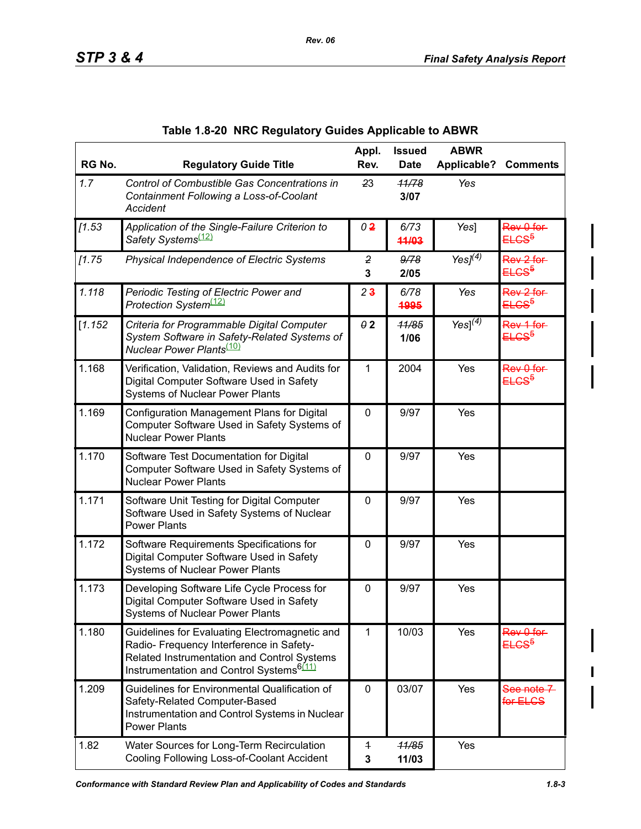<span id="page-2-0"></span>

| RG No.  | <b>Regulatory Guide Title</b>                                                                                                                                                                    | Appl.<br>Rev.       | <b>Issued</b><br><b>Date</b> | <b>ABWR</b><br>Applicable? | <b>Comments</b>                           |
|---------|--------------------------------------------------------------------------------------------------------------------------------------------------------------------------------------------------|---------------------|------------------------------|----------------------------|-------------------------------------------|
| 1.7     | Control of Combustible Gas Concentrations in<br>Containment Following a Loss-of-Coolant<br>Accident                                                                                              | 23                  | 11/78<br>3/07                | Yes                        |                                           |
| [1.53]  | Application of the Single-Failure Criterion to<br>Safety Systems <sup>(12)</sup>                                                                                                                 | 0 <sup>2</sup>      | 6/73<br>44/03                | Yes]                       | Rev 0 for<br>ELCS <sup>5</sup>            |
| 11.75   | Physical Independence of Electric Systems                                                                                                                                                        | $\overline{2}$<br>3 | 9/78<br>2/05                 | Yes $J^{(\overline{4})}$   | Rev 2 for<br>ELCS <sup>5</sup>            |
| 1.118   | Periodic Testing of Electric Power and<br>Protection System <sup>(12)</sup>                                                                                                                      | 2 <sub>3</sub>      | 6/78<br>4995                 | Yes                        | Rev 2 for-<br><del>ELCS<sup>5</sup></del> |
| [1.152] | Criteria for Programmable Digital Computer<br>System Software in Safety-Related Systems of<br>Nuclear Power Plants <sup>(10)</sup>                                                               | $\theta$ 2          | 11/85<br>1/06                | $Yes]^{(4)}$               | Rev 1 for<br><del>ELCS<sup>5</sup></del>  |
| 1.168   | Verification, Validation, Reviews and Audits for<br>Digital Computer Software Used in Safety<br><b>Systems of Nuclear Power Plants</b>                                                           | 1                   | 2004                         | Yes                        | Rev 0 for<br><del>ELCS<sup>5</sup></del>  |
| 1.169   | Configuration Management Plans for Digital<br>Computer Software Used in Safety Systems of<br><b>Nuclear Power Plants</b>                                                                         | $\mathbf 0$         | 9/97                         | Yes                        |                                           |
| 1.170   | Software Test Documentation for Digital<br>Computer Software Used in Safety Systems of<br><b>Nuclear Power Plants</b>                                                                            | 0                   | 9/97                         | Yes                        |                                           |
| 1.171   | Software Unit Testing for Digital Computer<br>Software Used in Safety Systems of Nuclear<br><b>Power Plants</b>                                                                                  | $\mathbf 0$         | 9/97                         | Yes                        |                                           |
| 1.172   | Software Requirements Specifications for<br>Digital Computer Software Used in Safety<br><b>Systems of Nuclear Power Plants</b>                                                                   | $\mathbf 0$         | 9/97                         | Yes                        |                                           |
| 1.173   | Developing Software Life Cycle Process for<br>Digital Computer Software Used in Safety<br><b>Systems of Nuclear Power Plants</b>                                                                 | $\mathbf 0$         | 9/97                         | Yes                        |                                           |
| 1.180   | Guidelines for Evaluating Electromagnetic and<br>Radio- Frequency Interference in Safety-<br>Related Instrumentation and Control Systems<br>Instrumentation and Control Systems <sup>6(11)</sup> | 1                   | 10/03                        | Yes                        | Rev 0 for<br>ELCS <sup>5</sup>            |
| 1.209   | Guidelines for Environmental Qualification of<br>Safety-Related Computer-Based<br>Instrumentation and Control Systems in Nuclear<br><b>Power Plants</b>                                          | 0                   | 03/07                        | Yes                        | See note 7<br>for ELCS                    |
| 1.82    | Water Sources for Long-Term Recirculation<br>Cooling Following Loss-of-Coolant Accident                                                                                                          | $\overline{1}$<br>3 | 11/85<br>11/03               | Yes                        |                                           |

|  | Table 1.8-20 NRC Regulatory Guides Applicable to ABWR |  |  |  |
|--|-------------------------------------------------------|--|--|--|
|--|-------------------------------------------------------|--|--|--|

*Rev. 06*

I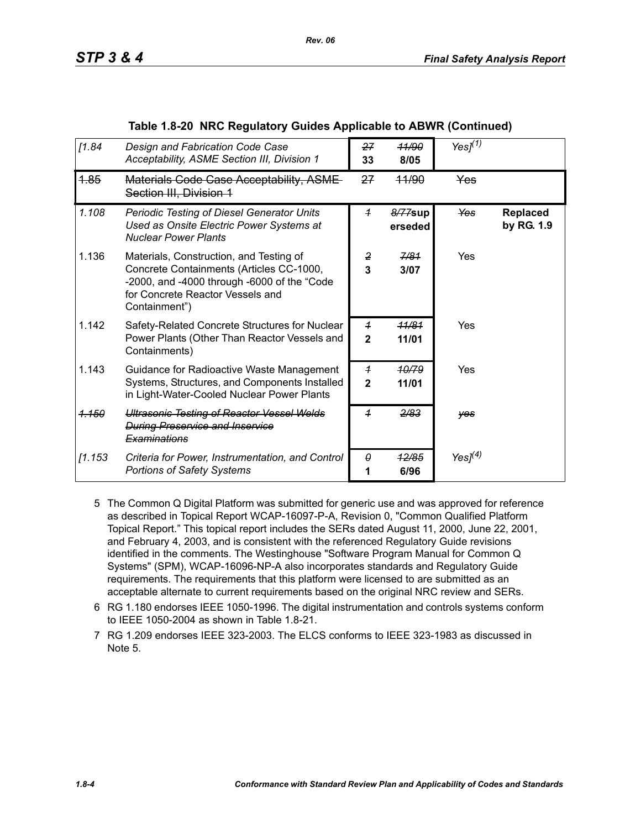| [1.84]           | Design and Fabrication Code Case<br>Acceptability, ASME Section III, Division 1                                                                                                         | 27<br>33                       | <b>11/90</b><br>8/05 | Yes $J(1)$    |                        |
|------------------|-----------------------------------------------------------------------------------------------------------------------------------------------------------------------------------------|--------------------------------|----------------------|---------------|------------------------|
| 4.85             | <b>Materials Code Case Acceptability, ASME-</b><br><del>Section III, Division 1</del>                                                                                                   | 27                             | <del>11/90</del>     | <b>Yes</b>    |                        |
| 1.108            | <b>Periodic Testing of Diesel Generator Units</b><br>Used as Onsite Electric Power Systems at<br><b>Nuclear Power Plants</b>                                                            | $\overline{1}$                 | 8/77sup<br>erseded   | Yes           | Replaced<br>by RG. 1.9 |
| 1.136            | Materials, Construction, and Testing of<br>Concrete Containments (Articles CC-1000,<br>-2000, and -4000 through -6000 of the "Code<br>for Concrete Reactor Vessels and<br>Containment") | $\overline{2}$<br>3            | 7/81<br>3/07         | Yes           |                        |
| 1.142            | Safety-Related Concrete Structures for Nuclear<br>Power Plants (Other Than Reactor Vessels and<br>Containments)                                                                         | $\overline{1}$<br>$\mathbf{2}$ | 11/81<br>11/01       | Yes           |                        |
| 1.143            | Guidance for Radioactive Waste Management<br>Systems, Structures, and Components Installed<br>in Light-Water-Cooled Nuclear Power Plants                                                | $\overline{1}$<br>$\mathbf{2}$ | 10/79<br>11/01       | Yes           |                        |
| <del>1.150</del> | <b>Ultrasonic Testing of Reactor Vessel Welds</b><br><b>During Preservice and Inservice</b><br>Examinations                                                                             | $\overline{1}$                 | 2/83                 | yes           |                        |
| [1.153]          | Criteria for Power, Instrumentation, and Control<br><b>Portions of Safety Systems</b>                                                                                                   | θ                              | <u>12/85</u><br>6/96 | Yes $l^{(4)}$ |                        |

## **Table 1.8-20 NRC Regulatory Guides Applicable to ABWR (Continued)**

*Rev. 06*

- 5 The Common Q Digital Platform was submitted for generic use and was approved for reference as described in Topical Report WCAP-16097-P-A, Revision 0, "Common Qualified Platform Topical Report." This topical report includes the SERs dated August 11, 2000, June 22, 2001, and February 4, 2003, and is consistent with the referenced Regulatory Guide revisions identified in the comments. The Westinghouse "Software Program Manual for Common Q Systems" (SPM), WCAP-16096-NP-A also incorporates standards and Regulatory Guide requirements. The requirements that this platform were licensed to are submitted as an acceptable alternate to current requirements based on the original NRC review and SERs.
- 6 RG 1.180 endorses IEEE 1050-1996. The digital instrumentation and controls systems conform to IEEE 1050-2004 as shown in Table 1.8-21.
- 7 RG 1.209 endorses IEEE 323-2003. The ELCS conforms to IEEE 323-1983 as discussed in Note 5.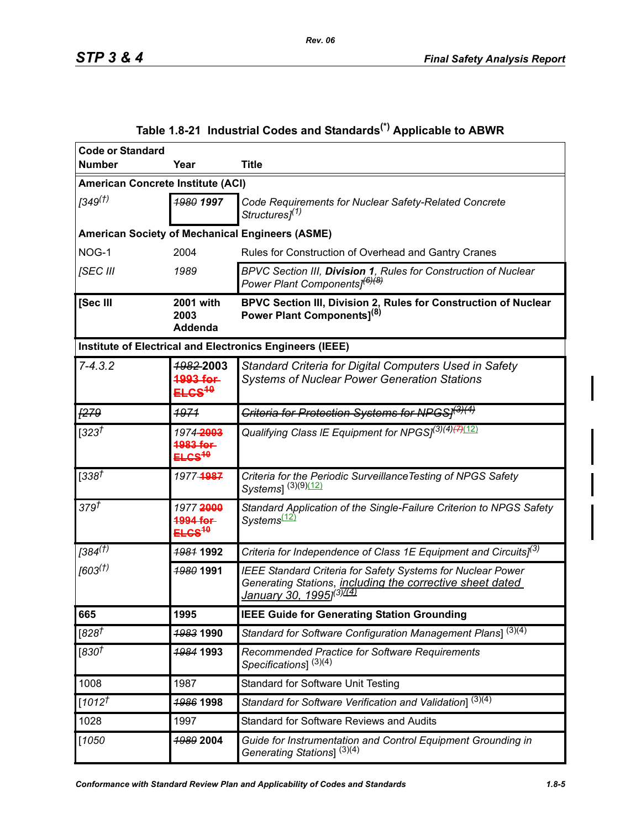<span id="page-4-0"></span>

| <b>Code or Standard</b><br><b>Number</b> | Year                                                 | <b>Title</b>                                                                                                                                                                  |  |  |
|------------------------------------------|------------------------------------------------------|-------------------------------------------------------------------------------------------------------------------------------------------------------------------------------|--|--|
| <b>American Concrete Institute (ACI)</b> |                                                      |                                                                                                                                                                               |  |  |
|                                          |                                                      |                                                                                                                                                                               |  |  |
| 1349 <sup>(†)</sup>                      | 1980 1997                                            | Code Requirements for Nuclear Safety-Related Concrete<br>Structures <sup>[1]</sup>                                                                                            |  |  |
|                                          |                                                      | <b>American Society of Mechanical Engineers (ASME)</b>                                                                                                                        |  |  |
| NOG-1                                    | 2004                                                 | Rules for Construction of Overhead and Gantry Cranes                                                                                                                          |  |  |
| [SEC III                                 | 1989                                                 | BPVC Section III, Division 1, Rules for Construction of Nuclear<br>Power Plant Components <sup>[6)(8)</sup>                                                                   |  |  |
| [Sec III                                 | 2001 with<br>2003                                    | BPVC Section III, Division 2, Rules for Construction of Nuclear<br>Power Plant Components] <sup>(8)</sup>                                                                     |  |  |
|                                          | <b>Addenda</b>                                       |                                                                                                                                                                               |  |  |
|                                          |                                                      | Institute of Electrical and Electronics Engineers (IEEE)                                                                                                                      |  |  |
| $7 - 4.3.2$                              | <del>1982-</del> 2003                                | Standard Criteria for Digital Computers Used in Safety                                                                                                                        |  |  |
|                                          | 003 for<br><del>ELCS<sup>10</sup></del>              | <b>Systems of Nuclear Power Generation Stations</b>                                                                                                                           |  |  |
| <u> 1279</u>                             | 4974                                                 | <del>Criteria for Protection Systems for NPGS]<sup>(3)(4)</sup></del>                                                                                                         |  |  |
| [323 $^{\dagger}$                        | 1974-2003<br>1983 for<br>ELCS <sup>10</sup>          | Qualifying Class IE Equipment for NPGSJ <sup>(3)(4)(7)(12)</sup>                                                                                                              |  |  |
| [338 $\bar{t}$                           | 1977-1987                                            | Criteria for the Periodic Surveillance Testing of NPGS Safety<br>Systems1 (3)(9)(12)                                                                                          |  |  |
| 379 <sup>†</sup>                         | 19772000<br>1994 for<br><del>ELCS<sup>10</sup></del> | Standard Application of the Single-Failure Criterion to NPGS Safety<br>Systems <sup>(12)</sup>                                                                                |  |  |
| $[384^{\overline{(1)}}]$                 | <b>1981 1992</b>                                     | Criteria for Independence of Class 1E Equipment and Circuits] <sup>(3)</sup>                                                                                                  |  |  |
| $[603^{(1)}]$                            | <b>1980 1991</b>                                     | <b>IEEE Standard Criteria for Safety Systems for Nuclear Power</b><br>Generating Stations, including the corrective sheet dated<br><u>January 30, 1995](<sup>3)7(4)</sup></u> |  |  |
| 665                                      | 1995                                                 | <b>IEEE Guide for Generating Station Grounding</b>                                                                                                                            |  |  |
| [828 $^{\overline{t}}$                   | 1983 1990                                            | Standard for Software Configuration Management Plans] <sup>(3)(4)</sup>                                                                                                       |  |  |
| [830 $^\dagger$                          | <b>1984 1993</b>                                     | Recommended Practice for Software Requirements<br>Specifications] $(3)(4)$                                                                                                    |  |  |
| 1008                                     | 1987                                                 | <b>Standard for Software Unit Testing</b>                                                                                                                                     |  |  |
| $[1012^{1}]$                             | <b>1986 1998</b>                                     | Standard for Software Verification and Validation] <sup>(3)(4)</sup>                                                                                                          |  |  |
| 1028                                     | 1997                                                 | <b>Standard for Software Reviews and Audits</b>                                                                                                                               |  |  |
| $[1050$                                  | 1989 2004                                            | Guide for Instrumentation and Control Equipment Grounding in<br>Generating Stations] <sup>(3)(4)</sup>                                                                        |  |  |

# **Table 1.8-21 Industrial Codes and Standards(\*) Applicable to ABWR**

Ι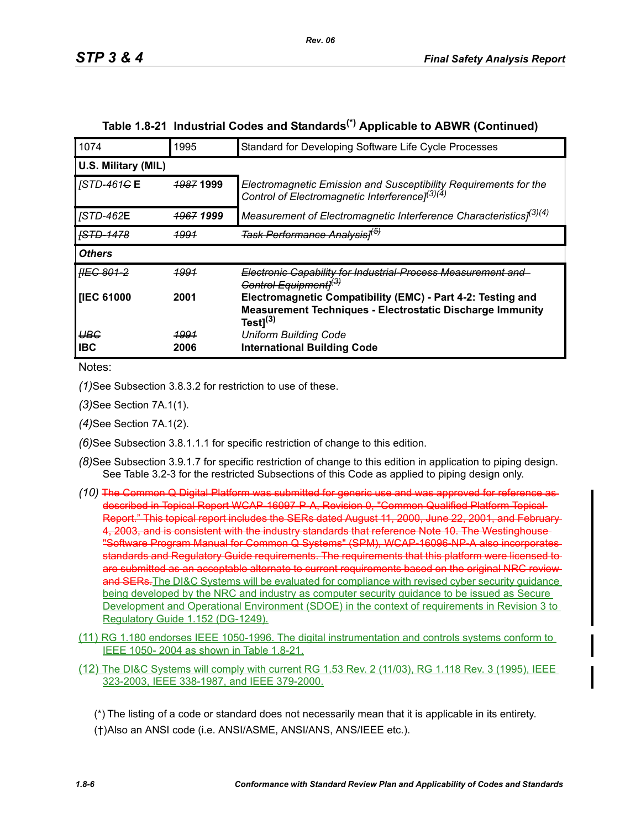| 1074                    | 1995                 | Standard for Developing Software Life Cycle Processes                                                                                             |
|-------------------------|----------------------|---------------------------------------------------------------------------------------------------------------------------------------------------|
| U.S. Military (MIL)     |                      |                                                                                                                                                   |
| <i><b>STD-461GE</b></i> | <del>1987</del> 1999 | Electromagnetic Emission and Susceptibility Requirements for the<br>Control of Electromagnetic Interference] <sup>(3)(4)</sup>                    |
| <b>JSTD-462E</b>        | <del>1967</del> 1999 | Measurement of Electromagnetic Interference Characteristics] <sup>(3)(4)</sup>                                                                    |
| <del>ISTD-1478</del>    | <u> 1991</u>         | <del>Task Performance Analysis]<sup>(b)</sup></del>                                                                                               |
| <b>Others</b>           |                      |                                                                                                                                                   |
| HEG 801-2               | 1991                 | Electronic Capability for Industrial Process Measurement and<br>Control Equipmentl <sup>(3)</sup>                                                 |
| <b>IIEC 61000</b>       | 2001                 | Electromagnetic Compatibility (EMC) - Part 4-2: Testing and<br><b>Measurement Techniques - Electrostatic Discharge Immunity</b><br>Test $]^{(3)}$ |
| <b>UBG</b>              | <u> 1991</u>         | <b>Uniform Building Code</b>                                                                                                                      |
| <b>IBC</b>              | 2006                 | <b>International Building Code</b>                                                                                                                |

# **Table 1.8-21 Industrial Codes and Standards(\*) Applicable to ABWR (Continued)**

*Rev. 06*

Notes:

*(1)*See Subsection 3.8.3.2 for restriction to use of these.

*(3)*See Section 7A.1(1).

*(4)*See Section 7A.1(2).

*(6)*See Subsection 3.8.1.1.1 for specific restriction of change to this edition.

- *(8)*See Subsection 3.9.1.7 for specific restriction of change to this edition in application to piping design. See Table 3.2-3 for the restricted Subsections of this Code as applied to piping design only.
- *(10)* The Common Q Digital Platform was submitted for generic use and was approved for reference as described in Topical Report WCAP-16097-P-A, Revision 0, "Common Qualified Platform Topical Report." This topical report includes the SERs dated August 11, 2000, June 22, 2001, and February 4, 2003, and is consistent with the industry standards that reference Note 10. The Westinghouse "Software Program Manual for Common Q Systems" (SPM), WCAP-16096-NP-A also incorporates standards and Regulatory Guide requirements. The requirements that this platform were licensed to are submitted as an acceptable alternate to current requirements based on the original NRC review and SERs. The DI&C Systems will be evaluated for compliance with revised cyber security guidance being developed by the NRC and industry as computer security guidance to be issued as Secure Development and Operational Environment (SDOE) in the context of requirements in Revision 3 to Regulatory Guide 1.152 (DG-1249).
- (11) RG 1.180 endorses IEEE 1050-1996. The digital instrumentation and controls systems conform to IEEE 1050- 2004 as shown in Table 1.8-21.
- (12) The DI&C Systems will comply with current RG 1.53 Rev. 2 (11/03), RG 1.118 Rev. 3 (1995), IEEE 323-2003, IEEE 338-1987, and IEEE 379-2000.

(\*) The listing of a code or standard does not necessarily mean that it is applicable in its entirety. (†)Also an ANSI code (i.e. ANSI/ASME, ANSI/ANS, ANS/IEEE etc.).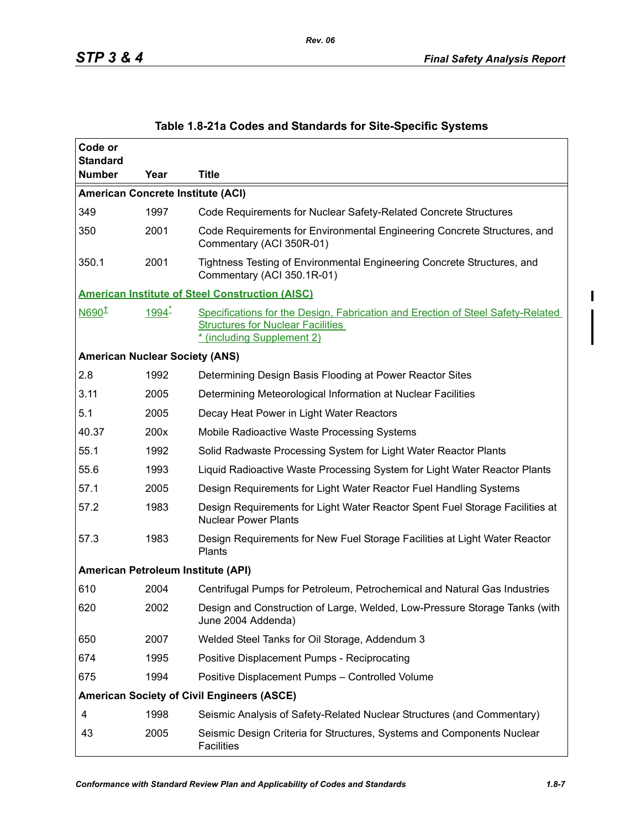| Code or<br><b>Standard</b>            |          |                                                                                                                                                           |
|---------------------------------------|----------|-----------------------------------------------------------------------------------------------------------------------------------------------------------|
| <b>Number</b>                         | Year     | <b>Title</b>                                                                                                                                              |
|                                       |          | <b>American Concrete Institute (ACI)</b>                                                                                                                  |
| 349                                   | 1997     | Code Requirements for Nuclear Safety-Related Concrete Structures                                                                                          |
| 350                                   | 2001     | Code Requirements for Environmental Engineering Concrete Structures, and<br>Commentary (ACI 350R-01)                                                      |
| 350.1                                 | 2001     | Tightness Testing of Environmental Engineering Concrete Structures, and<br>Commentary (ACI 350.1R-01)                                                     |
|                                       |          | <b>American Institute of Steel Construction (AISC)</b>                                                                                                    |
| N690 <sup>1</sup>                     | $1994 -$ | Specifications for the Design, Fabrication and Erection of Steel Safety-Related<br><b>Structures for Nuclear Facilities</b><br>* (including Supplement 2) |
| <b>American Nuclear Society (ANS)</b> |          |                                                                                                                                                           |
| 2.8                                   | 1992     | Determining Design Basis Flooding at Power Reactor Sites                                                                                                  |
| 3.11                                  | 2005     | Determining Meteorological Information at Nuclear Facilities                                                                                              |
| 5.1                                   | 2005     | Decay Heat Power in Light Water Reactors                                                                                                                  |
| 40.37                                 | 200x     | Mobile Radioactive Waste Processing Systems                                                                                                               |
| 55.1                                  | 1992     | Solid Radwaste Processing System for Light Water Reactor Plants                                                                                           |
| 55.6                                  | 1993     | Liquid Radioactive Waste Processing System for Light Water Reactor Plants                                                                                 |
| 57.1                                  | 2005     | Design Requirements for Light Water Reactor Fuel Handling Systems                                                                                         |
| 57.2                                  | 1983     | Design Requirements for Light Water Reactor Spent Fuel Storage Facilities at<br><b>Nuclear Power Plants</b>                                               |
| 57.3                                  | 1983     | Design Requirements for New Fuel Storage Facilities at Light Water Reactor<br>Plants                                                                      |
|                                       |          | American Petroleum Institute (API)                                                                                                                        |
| 610                                   | 2004     | Centrifugal Pumps for Petroleum, Petrochemical and Natural Gas Industries                                                                                 |
| 620                                   | 2002     | Design and Construction of Large, Welded, Low-Pressure Storage Tanks (with<br>June 2004 Addenda)                                                          |
| 650                                   | 2007     | Welded Steel Tanks for Oil Storage, Addendum 3                                                                                                            |
| 674                                   | 1995     | Positive Displacement Pumps - Reciprocating                                                                                                               |
| 675                                   | 1994     | Positive Displacement Pumps - Controlled Volume                                                                                                           |
|                                       |          | <b>American Society of Civil Engineers (ASCE)</b>                                                                                                         |
| 4                                     | 1998     | Seismic Analysis of Safety-Related Nuclear Structures (and Commentary)                                                                                    |
| 43                                    | 2005     | Seismic Design Criteria for Structures, Systems and Components Nuclear<br><b>Facilities</b>                                                               |

### **Table 1.8-21a Codes and Standards for Site-Specific Systems**

*Rev. 06*

I